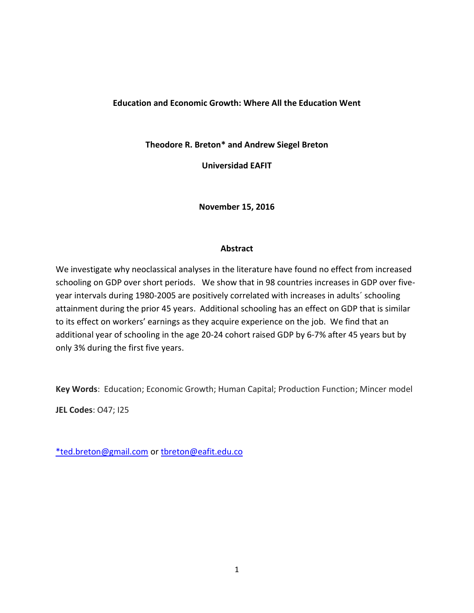#### **Education and Economic Growth: Where All the Education Went**

**Theodore R. Breton\* and Andrew Siegel Breton**

**Universidad EAFIT**

**November 15, 2016**

#### **Abstract**

We investigate why neoclassical analyses in the literature have found no effect from increased schooling on GDP over short periods. We show that in 98 countries increases in GDP over fiveyear intervals during 1980-2005 are positively correlated with increases in adults´ schooling attainment during the prior 45 years. Additional schooling has an effect on GDP that is similar to its effect on workers' earnings as they acquire experience on the job. We find that an additional year of schooling in the age 20-24 cohort raised GDP by 6-7% after 45 years but by only 3% during the first five years.

**Key Words**: Education; Economic Growth; Human Capital; Production Function; Mincer model

**JEL Codes**: O47; I25

[\\*ted.breton@gmail.com](mailto:*ted.breton@gmail.com) or [tbreton@eafit.edu.co](mailto:tbreton@eafit.edu.co)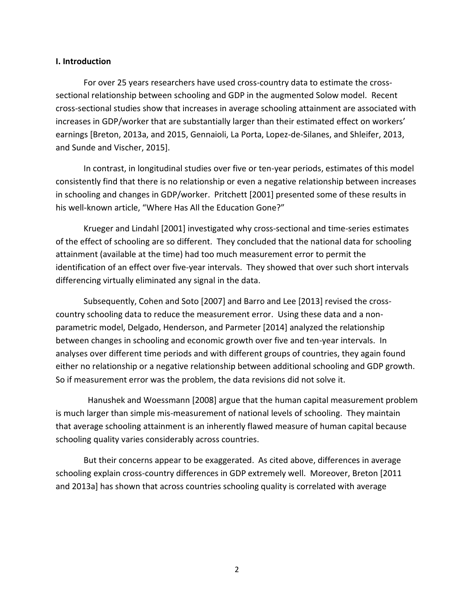#### **I. Introduction**

For over 25 years researchers have used cross-country data to estimate the crosssectional relationship between schooling and GDP in the augmented Solow model. Recent cross-sectional studies show that increases in average schooling attainment are associated with increases in GDP/worker that are substantially larger than their estimated effect on workers' earnings [Breton, 2013a, and 2015, Gennaioli, La Porta, Lopez-de-Silanes, and Shleifer, 2013, and Sunde and Vischer, 2015].

In contrast, in longitudinal studies over five or ten-year periods, estimates of this model consistently find that there is no relationship or even a negative relationship between increases in schooling and changes in GDP/worker. Pritchett [2001] presented some of these results in his well-known article, "Where Has All the Education Gone?"

Krueger and Lindahl [2001] investigated why cross-sectional and time-series estimates of the effect of schooling are so different. They concluded that the national data for schooling attainment (available at the time) had too much measurement error to permit the identification of an effect over five-year intervals. They showed that over such short intervals differencing virtually eliminated any signal in the data.

Subsequently, Cohen and Soto [2007] and Barro and Lee [2013] revised the crosscountry schooling data to reduce the measurement error. Using these data and a nonparametric model, Delgado, Henderson, and Parmeter [2014] analyzed the relationship between changes in schooling and economic growth over five and ten-year intervals. In analyses over different time periods and with different groups of countries, they again found either no relationship or a negative relationship between additional schooling and GDP growth. So if measurement error was the problem, the data revisions did not solve it.

 Hanushek and Woessmann [2008] argue that the human capital measurement problem is much larger than simple mis-measurement of national levels of schooling. They maintain that average schooling attainment is an inherently flawed measure of human capital because schooling quality varies considerably across countries.

But their concerns appear to be exaggerated. As cited above, differences in average schooling explain cross-country differences in GDP extremely well. Moreover, Breton [2011 and 2013a] has shown that across countries schooling quality is correlated with average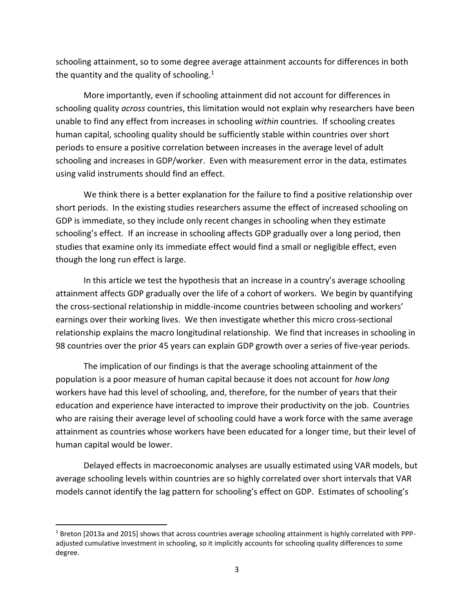schooling attainment, so to some degree average attainment accounts for differences in both the quantity and the quality of schooling.<sup>1</sup>

More importantly, even if schooling attainment did not account for differences in schooling quality *across* countries, this limitation would not explain why researchers have been unable to find any effect from increases in schooling *within* countries. If schooling creates human capital, schooling quality should be sufficiently stable within countries over short periods to ensure a positive correlation between increases in the average level of adult schooling and increases in GDP/worker. Even with measurement error in the data, estimates using valid instruments should find an effect.

We think there is a better explanation for the failure to find a positive relationship over short periods. In the existing studies researchers assume the effect of increased schooling on GDP is immediate, so they include only recent changes in schooling when they estimate schooling's effect. If an increase in schooling affects GDP gradually over a long period, then studies that examine only its immediate effect would find a small or negligible effect, even though the long run effect is large.

In this article we test the hypothesis that an increase in a country's average schooling attainment affects GDP gradually over the life of a cohort of workers. We begin by quantifying the cross-sectional relationship in middle-income countries between schooling and workers' earnings over their working lives. We then investigate whether this micro cross-sectional relationship explains the macro longitudinal relationship. We find that increases in schooling in 98 countries over the prior 45 years can explain GDP growth over a series of five-year periods.

The implication of our findings is that the average schooling attainment of the population is a poor measure of human capital because it does not account for *how long* workers have had this level of schooling, and, therefore, for the number of years that their education and experience have interacted to improve their productivity on the job. Countries who are raising their average level of schooling could have a work force with the same average attainment as countries whose workers have been educated for a longer time, but their level of human capital would be lower.

Delayed effects in macroeconomic analyses are usually estimated using VAR models, but average schooling levels within countries are so highly correlated over short intervals that VAR models cannot identify the lag pattern for schooling's effect on GDP. Estimates of schooling's

 $\overline{\phantom{a}}$ 

 $1$  Breton [2013a and 2015] shows that across countries average schooling attainment is highly correlated with PPPadjusted cumulative investment in schooling, so it implicitly accounts for schooling quality differences to some degree.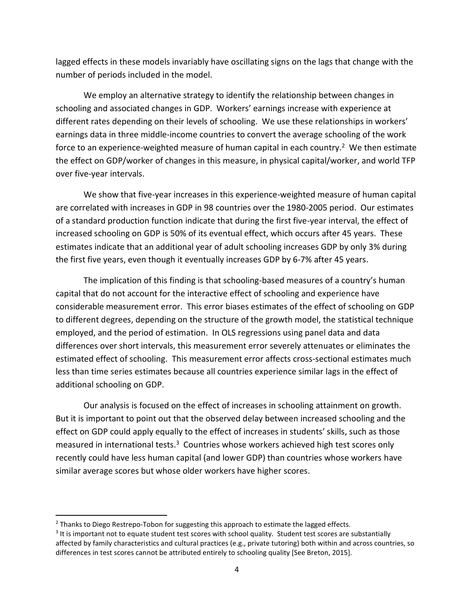lagged effects in these models invariably have oscillating signs on the lags that change with the number of periods included in the model.

We employ an alternative strategy to identify the relationship between changes in schooling and associated changes in GDP. Workers' earnings increase with experience at different rates depending on their levels of schooling. We use these relationships in workers' earnings data in three middle-income countries to convert the average schooling of the work force to an experience-weighted measure of human capital in each country.<sup>2</sup> We then estimate the effect on GDP/worker of changes in this measure, in physical capital/worker, and world TFP over five-year intervals.

We show that five-year increases in this experience-weighted measure of human capital are correlated with increases in GDP in 98 countries over the 1980-2005 period. Our estimates of a standard production function indicate that during the first five-year interval, the effect of increased schooling on GDP is 50% of its eventual effect, which occurs after 45 years. These estimates indicate that an additional year of adult schooling increases GDP by only 3% during the first five years, even though it eventually increases GDP by 6-7% after 45 years.

The implication of this finding is that schooling-based measures of a country's human capital that do not account for the interactive effect of schooling and experience have considerable measurement error. This error biases estimates of the effect of schooling on GDP to different degrees, depending on the structure of the growth model, the statistical technique employed, and the period of estimation. In OLS regressions using panel data and data differences over short intervals, this measurement error severely attenuates or eliminates the estimated effect of schooling. This measurement error affects cross-sectional estimates much less than time series estimates because all countries experience similar lags in the effect of additional schooling on GDP.

Our analysis is focused on the effect of increases in schooling attainment on growth. But it is important to point out that the observed delay between increased schooling and the effect on GDP could apply equally to the effect of increases in students' skills, such as those measured in international tests.<sup>3</sup> Countries whose workers achieved high test scores only recently could have less human capital (and lower GDP) than countries whose workers have similar average scores but whose older workers have higher scores.

 $\overline{a}$ 

 $<sup>2</sup>$  Thanks to Diego Restrepo-Tobon for suggesting this approach to estimate the lagged effects.</sup>

 $3$  It is important not to equate student test scores with school quality. Student test scores are substantially affected by family characteristics and cultural practices (e.g., private tutoring) both within and across countries, so differences in test scores cannot be attributed entirely to schooling quality [See Breton, 2015].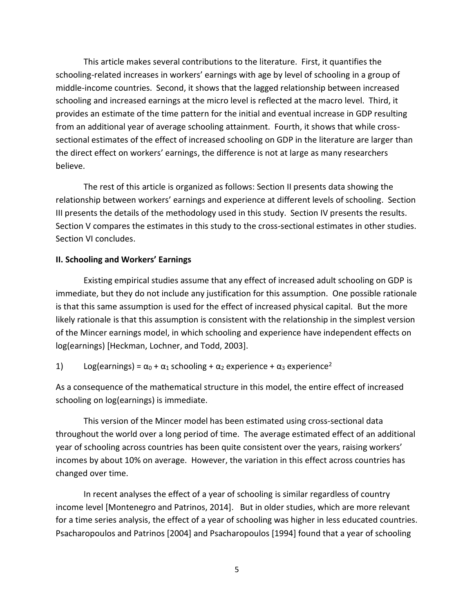This article makes several contributions to the literature. First, it quantifies the schooling-related increases in workers' earnings with age by level of schooling in a group of middle-income countries. Second, it shows that the lagged relationship between increased schooling and increased earnings at the micro level is reflected at the macro level. Third, it provides an estimate of the time pattern for the initial and eventual increase in GDP resulting from an additional year of average schooling attainment. Fourth, it shows that while crosssectional estimates of the effect of increased schooling on GDP in the literature are larger than the direct effect on workers' earnings, the difference is not at large as many researchers believe.

The rest of this article is organized as follows: Section II presents data showing the relationship between workers' earnings and experience at different levels of schooling. Section III presents the details of the methodology used in this study. Section IV presents the results. Section V compares the estimates in this study to the cross-sectional estimates in other studies. Section VI concludes.

#### **II. Schooling and Workers' Earnings**

Existing empirical studies assume that any effect of increased adult schooling on GDP is immediate, but they do not include any justification for this assumption. One possible rationale is that this same assumption is used for the effect of increased physical capital. But the more likely rationale is that this assumption is consistent with the relationship in the simplest version of the Mincer earnings model, in which schooling and experience have independent effects on log(earnings) [Heckman, Lochner, and Todd, 2003].

1) Log(earnings) =  $\alpha_0$  +  $\alpha_1$  schooling +  $\alpha_2$  experience +  $\alpha_3$  experience<sup>2</sup>

As a consequence of the mathematical structure in this model, the entire effect of increased schooling on log(earnings) is immediate.

This version of the Mincer model has been estimated using cross-sectional data throughout the world over a long period of time. The average estimated effect of an additional year of schooling across countries has been quite consistent over the years, raising workers' incomes by about 10% on average. However, the variation in this effect across countries has changed over time.

In recent analyses the effect of a year of schooling is similar regardless of country income level [Montenegro and Patrinos, 2014]. But in older studies, which are more relevant for a time series analysis, the effect of a year of schooling was higher in less educated countries. Psacharopoulos and Patrinos [2004] and Psacharopoulos [1994] found that a year of schooling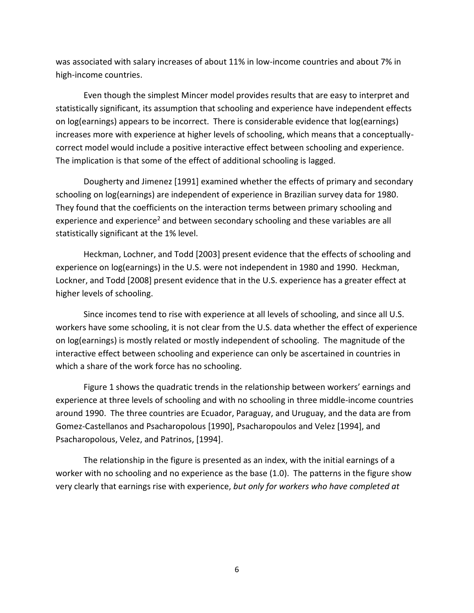was associated with salary increases of about 11% in low-income countries and about 7% in high-income countries.

Even though the simplest Mincer model provides results that are easy to interpret and statistically significant, its assumption that schooling and experience have independent effects on log(earnings) appears to be incorrect. There is considerable evidence that log(earnings) increases more with experience at higher levels of schooling, which means that a conceptuallycorrect model would include a positive interactive effect between schooling and experience. The implication is that some of the effect of additional schooling is lagged.

Dougherty and Jimenez [1991] examined whether the effects of primary and secondary schooling on log(earnings) are independent of experience in Brazilian survey data for 1980. They found that the coefficients on the interaction terms between primary schooling and experience and experience<sup>2</sup> and between secondary schooling and these variables are all statistically significant at the 1% level.

Heckman, Lochner, and Todd [2003] present evidence that the effects of schooling and experience on log(earnings) in the U.S. were not independent in 1980 and 1990. Heckman, Lockner, and Todd [2008] present evidence that in the U.S. experience has a greater effect at higher levels of schooling.

Since incomes tend to rise with experience at all levels of schooling, and since all U.S. workers have some schooling, it is not clear from the U.S. data whether the effect of experience on log(earnings) is mostly related or mostly independent of schooling. The magnitude of the interactive effect between schooling and experience can only be ascertained in countries in which a share of the work force has no schooling.

Figure 1 shows the quadratic trends in the relationship between workers' earnings and experience at three levels of schooling and with no schooling in three middle-income countries around 1990. The three countries are Ecuador, Paraguay, and Uruguay, and the data are from Gomez-Castellanos and Psacharopolous [1990], Psacharopoulos and Velez [1994], and Psacharopolous, Velez, and Patrinos, [1994].

The relationship in the figure is presented as an index, with the initial earnings of a worker with no schooling and no experience as the base (1.0). The patterns in the figure show very clearly that earnings rise with experience, *but only for workers who have completed at*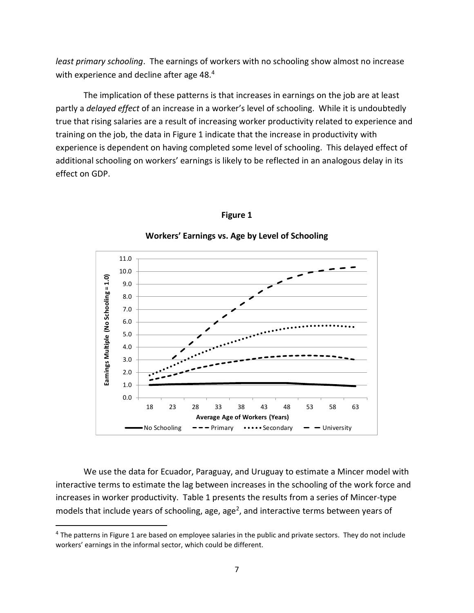*least primary schooling*. The earnings of workers with no schooling show almost no increase with experience and decline after age 48.<sup>4</sup>

The implication of these patterns is that increases in earnings on the job are at least partly a *delayed effect* of an increase in a worker's level of schooling. While it is undoubtedly true that rising salaries are a result of increasing worker productivity related to experience and training on the job, the data in Figure 1 indicate that the increase in productivity with experience is dependent on having completed some level of schooling. This delayed effect of additional schooling on workers' earnings is likely to be reflected in an analogous delay in its effect on GDP.



#### **Figure 1**

**Workers' Earnings vs. Age by Level of Schooling**

We use the data for Ecuador, Paraguay, and Uruguay to estimate a Mincer model with interactive terms to estimate the lag between increases in the schooling of the work force and increases in worker productivity. Table 1 presents the results from a series of Mincer-type models that include years of schooling, age, age<sup>2</sup>, and interactive terms between years of

l

<sup>&</sup>lt;sup>4</sup> The patterns in Figure 1 are based on employee salaries in the public and private sectors. They do not include workers' earnings in the informal sector, which could be different.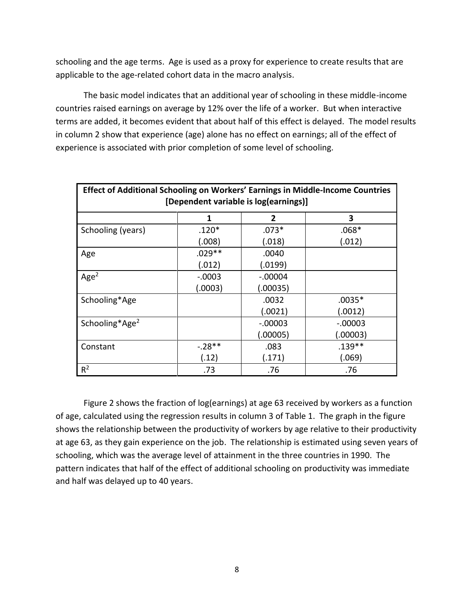schooling and the age terms. Age is used as a proxy for experience to create results that are applicable to the age-related cohort data in the macro analysis.

The basic model indicates that an additional year of schooling in these middle-income countries raised earnings on average by 12% over the life of a worker. But when interactive terms are added, it becomes evident that about half of this effect is delayed. The model results in column 2 show that experience (age) alone has no effect on earnings; all of the effect of experience is associated with prior completion of some level of schooling.

| Effect of Additional Schooling on Workers' Earnings in Middle-Income Countries<br>[Dependent variable is log(earnings)] |          |              |           |  |  |  |
|-------------------------------------------------------------------------------------------------------------------------|----------|--------------|-----------|--|--|--|
|                                                                                                                         | 1        | $\mathbf{2}$ | 3         |  |  |  |
| Schooling (years)                                                                                                       | $.120*$  | $.073*$      | $.068*$   |  |  |  |
|                                                                                                                         | (.008)   | (.018)       | (.012)    |  |  |  |
| Age                                                                                                                     | $.029**$ | .0040        |           |  |  |  |
|                                                                                                                         | (.012)   | (.0199)      |           |  |  |  |
| Age <sup>2</sup>                                                                                                        | $-.0003$ | $-.00004$    |           |  |  |  |
|                                                                                                                         | (.0003)  | (.00035)     |           |  |  |  |
| Schooling*Age                                                                                                           |          | .0032        | $.0035*$  |  |  |  |
|                                                                                                                         |          | (.0021)      | (.0012)   |  |  |  |
| Schooling*Age <sup>2</sup>                                                                                              |          | $-0.00003$   | $-.00003$ |  |  |  |
|                                                                                                                         |          | (.00005)     | (.00003)  |  |  |  |
| Constant                                                                                                                | $-.28**$ | .083         | $.139**$  |  |  |  |
|                                                                                                                         | (.12)    | (.171)       | (.069)    |  |  |  |
| $R^2$                                                                                                                   | .73      | .76          | .76       |  |  |  |

Figure 2 shows the fraction of log(earnings) at age 63 received by workers as a function of age, calculated using the regression results in column 3 of Table 1. The graph in the figure shows the relationship between the productivity of workers by age relative to their productivity at age 63, as they gain experience on the job. The relationship is estimated using seven years of schooling, which was the average level of attainment in the three countries in 1990. The pattern indicates that half of the effect of additional schooling on productivity was immediate and half was delayed up to 40 years.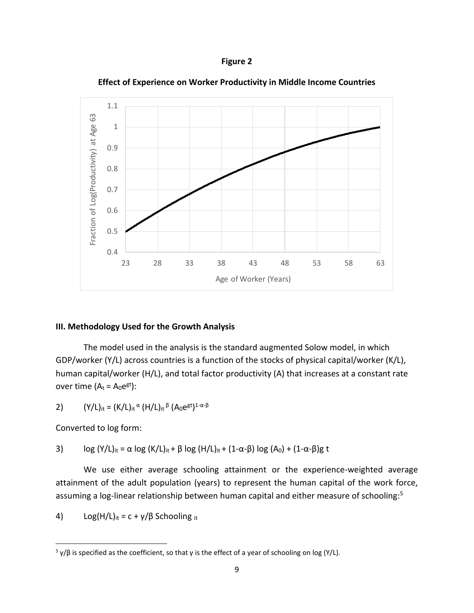



**Effect of Experience on Worker Productivity in Middle Income Countries**

#### **III. Methodology Used for the Growth Analysis**

The model used in the analysis is the standard augmented Solow model, in which GDP/worker (Y/L) across countries is a function of the stocks of physical capital/worker (K/L), human capital/worker (H/L), and total factor productivity (A) that increases at a constant rate over time  $(A_t = A_0 e^{gt})$ :

2)  $(Y/L)_{it} = (K/L)_{it}$   $\alpha$   $(H/L)_{it}$   $\beta$   $(A_0e^{gt})^{1-\alpha-\beta}$ 

Converted to log form:

 $\overline{\phantom{a}}$ 

3) log  $(Y/L)_{it} = \alpha \log (K/L)_{it} + \beta \log (H/L)_{it} + (1 - \alpha - \beta) \log (A_0) + (1 - \alpha - \beta)g$  t

We use either average schooling attainment or the experience-weighted average attainment of the adult population (years) to represent the human capital of the work force, assuming a log-linear relationship between human capital and either measure of schooling: 5

4) Log(H/L)<sub>it</sub> = c +  $\gamma$ / $\beta$  Schooling <sub>it</sub>

<sup>&</sup>lt;sup>5</sup> γ/β is specified as the coefficient, so that γ is the effect of a year of schooling on log (Y/L).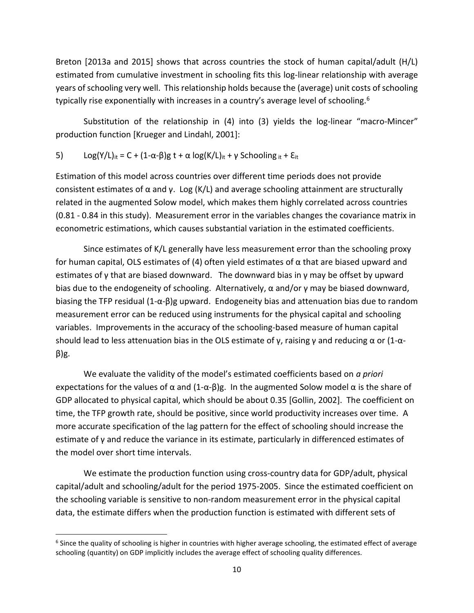Breton [2013a and 2015] shows that across countries the stock of human capital/adult (H/L) estimated from cumulative investment in schooling fits this log-linear relationship with average years of schooling very well. This relationship holds because the (average) unit costs of schooling typically rise exponentially with increases in a country's average level of schooling.<sup>6</sup>

Substitution of the relationship in (4) into (3) yields the log-linear "macro-Mincer" production function [Krueger and Lindahl, 2001]:

5) Log(Y/L)<sub>it</sub> = C + (1-α-β)g t + α log(K/L)<sub>it</sub> + γ Schooling <sub>it</sub> +  $E$ <sub>it</sub>

Estimation of this model across countries over different time periods does not provide consistent estimates of  $\alpha$  and  $\gamma$ . Log (K/L) and average schooling attainment are structurally related in the augmented Solow model, which makes them highly correlated across countries (0.81 - 0.84 in this study). Measurement error in the variables changes the covariance matrix in econometric estimations, which causes substantial variation in the estimated coefficients.

Since estimates of K/L generally have less measurement error than the schooling proxy for human capital, OLS estimates of (4) often yield estimates of α that are biased upward and estimates of y that are biased downward. The downward bias in  $\gamma$  may be offset by upward bias due to the endogeneity of schooling. Alternatively,  $\alpha$  and/or γ may be biased downward, biasing the TFP residual (1-α-β)g upward. Endogeneity bias and attenuation bias due to random measurement error can be reduced using instruments for the physical capital and schooling variables. Improvements in the accuracy of the schooling-based measure of human capital should lead to less attenuation bias in the OLS estimate of  $\gamma$ , raising  $\gamma$  and reducing  $\alpha$  or (1- $\alpha$ β)g.

We evaluate the validity of the model's estimated coefficients based on *a priori* expectations for the values of  $\alpha$  and  $(1-\alpha-\beta)g$ . In the augmented Solow model  $\alpha$  is the share of GDP allocated to physical capital, which should be about 0.35 [Gollin, 2002]. The coefficient on time, the TFP growth rate, should be positive, since world productivity increases over time. A more accurate specification of the lag pattern for the effect of schooling should increase the estimate of γ and reduce the variance in its estimate, particularly in differenced estimates of the model over short time intervals.

We estimate the production function using cross-country data for GDP/adult, physical capital/adult and schooling/adult for the period 1975-2005. Since the estimated coefficient on the schooling variable is sensitive to non-random measurement error in the physical capital data, the estimate differs when the production function is estimated with different sets of

l

 $^6$  Since the quality of schooling is higher in countries with higher average schooling, the estimated effect of average schooling (quantity) on GDP implicitly includes the average effect of schooling quality differences.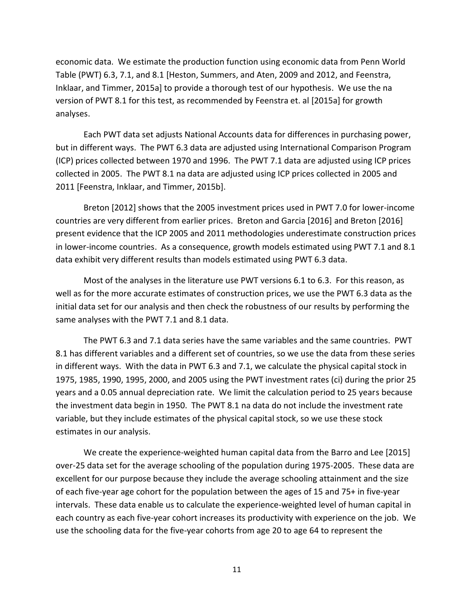economic data. We estimate the production function using economic data from Penn World Table (PWT) 6.3, 7.1, and 8.1 [Heston, Summers, and Aten, 2009 and 2012, and Feenstra, Inklaar, and Timmer, 2015a] to provide a thorough test of our hypothesis. We use the na version of PWT 8.1 for this test, as recommended by Feenstra et. al [2015a] for growth analyses.

Each PWT data set adjusts National Accounts data for differences in purchasing power, but in different ways. The PWT 6.3 data are adjusted using International Comparison Program (ICP) prices collected between 1970 and 1996. The PWT 7.1 data are adjusted using ICP prices collected in 2005. The PWT 8.1 na data are adjusted using ICP prices collected in 2005 and 2011 [Feenstra, Inklaar, and Timmer, 2015b].

Breton [2012] shows that the 2005 investment prices used in PWT 7.0 for lower-income countries are very different from earlier prices. Breton and Garcia [2016] and Breton [2016] present evidence that the ICP 2005 and 2011 methodologies underestimate construction prices in lower-income countries. As a consequence, growth models estimated using PWT 7.1 and 8.1 data exhibit very different results than models estimated using PWT 6.3 data.

Most of the analyses in the literature use PWT versions 6.1 to 6.3. For this reason, as well as for the more accurate estimates of construction prices, we use the PWT 6.3 data as the initial data set for our analysis and then check the robustness of our results by performing the same analyses with the PWT 7.1 and 8.1 data.

The PWT 6.3 and 7.1 data series have the same variables and the same countries. PWT 8.1 has different variables and a different set of countries, so we use the data from these series in different ways. With the data in PWT 6.3 and 7.1, we calculate the physical capital stock in 1975, 1985, 1990, 1995, 2000, and 2005 using the PWT investment rates (ci) during the prior 25 years and a 0.05 annual depreciation rate. We limit the calculation period to 25 years because the investment data begin in 1950. The PWT 8.1 na data do not include the investment rate variable, but they include estimates of the physical capital stock, so we use these stock estimates in our analysis.

We create the experience-weighted human capital data from the Barro and Lee [2015] over-25 data set for the average schooling of the population during 1975-2005. These data are excellent for our purpose because they include the average schooling attainment and the size of each five-year age cohort for the population between the ages of 15 and 75+ in five-year intervals. These data enable us to calculate the experience-weighted level of human capital in each country as each five-year cohort increases its productivity with experience on the job. We use the schooling data for the five-year cohorts from age 20 to age 64 to represent the

11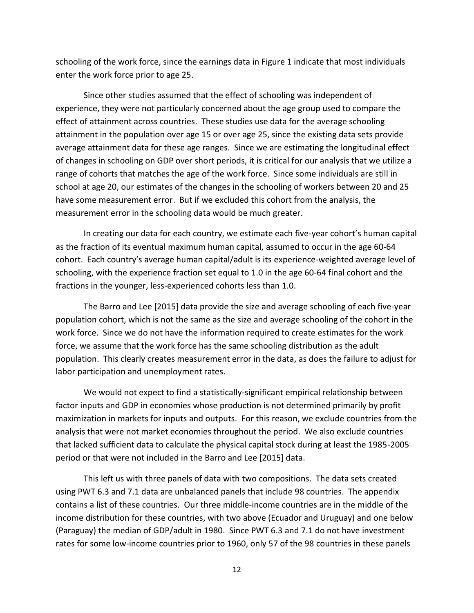schooling of the work force, since the earnings data in Figure 1 indicate that most individuals enter the work force prior to age 25.

Since other studies assumed that the effect of schooling was independent of experience, they were not particularly concerned about the age group used to compare the effect of attainment across countries. These studies use data for the average schooling attainment in the population over age 15 or over age 25, since the existing data sets provide average attainment data for these age ranges. Since we are estimating the longitudinal effect of changes in schooling on GDP over short periods, it is critical for our analysis that we utilize a range of cohorts that matches the age of the work force. Since some individuals are still in school at age 20, our estimates of the changes in the schooling of workers between 20 and 25 have some measurement error. But if we excluded this cohort from the analysis, the measurement error in the schooling data would be much greater.

In creating our data for each country, we estimate each five-year cohort's human capital as the fraction of its eventual maximum human capital, assumed to occur in the age 60-64 cohort. Each country's average human capital/adult is its experience-weighted average level of schooling, with the experience fraction set equal to 1.0 in the age 60-64 final cohort and the fractions in the younger, less-experienced cohorts less than 1.0.

The Barro and Lee [2015] data provide the size and average schooling of each five-year population cohort, which is not the same as the size and average schooling of the cohort in the work force. Since we do not have the information required to create estimates for the work force, we assume that the work force has the same schooling distribution as the adult population. This clearly creates measurement error in the data, as does the failure to adjust for labor participation and unemployment rates.

We would not expect to find a statistically-significant empirical relationship between factor inputs and GDP in economies whose production is not determined primarily by profit maximization in markets for inputs and outputs. For this reason, we exclude countries from the analysis that were not market economies throughout the period. We also exclude countries that lacked sufficient data to calculate the physical capital stock during at least the 1985-2005 period or that were not included in the Barro and Lee [2015] data.

This left us with three panels of data with two compositions. The data sets created using PWT 6.3 and 7.1 data are unbalanced panels that include 98 countries. The appendix contains a list of these countries. Our three middle-income countries are in the middle of the income distribution for these countries, with two above (Ecuador and Uruguay) and one below (Paraguay) the median of GDP/adult in 1980. Since PWT 6.3 and 7.1 do not have investment rates for some low-income countries prior to 1960, only 57 of the 98 countries in these panels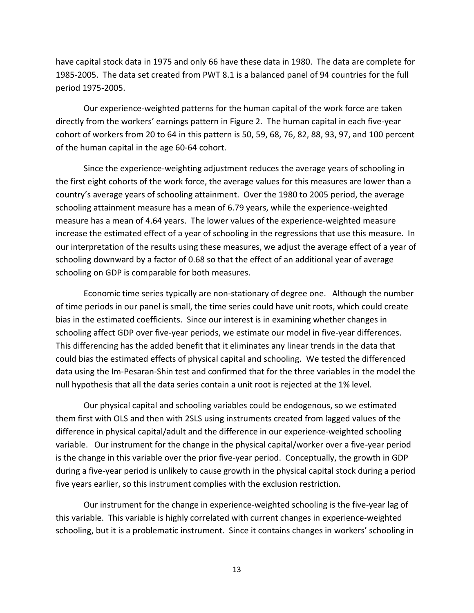have capital stock data in 1975 and only 66 have these data in 1980. The data are complete for 1985-2005. The data set created from PWT 8.1 is a balanced panel of 94 countries for the full period 1975-2005.

Our experience-weighted patterns for the human capital of the work force are taken directly from the workers' earnings pattern in Figure 2. The human capital in each five-year cohort of workers from 20 to 64 in this pattern is 50, 59, 68, 76, 82, 88, 93, 97, and 100 percent of the human capital in the age 60-64 cohort.

Since the experience-weighting adjustment reduces the average years of schooling in the first eight cohorts of the work force, the average values for this measures are lower than a country's average years of schooling attainment. Over the 1980 to 2005 period, the average schooling attainment measure has a mean of 6.79 years, while the experience-weighted measure has a mean of 4.64 years. The lower values of the experience-weighted measure increase the estimated effect of a year of schooling in the regressions that use this measure. In our interpretation of the results using these measures, we adjust the average effect of a year of schooling downward by a factor of 0.68 so that the effect of an additional year of average schooling on GDP is comparable for both measures.

Economic time series typically are non-stationary of degree one. Although the number of time periods in our panel is small, the time series could have unit roots, which could create bias in the estimated coefficients. Since our interest is in examining whether changes in schooling affect GDP over five-year periods, we estimate our model in five-year differences. This differencing has the added benefit that it eliminates any linear trends in the data that could bias the estimated effects of physical capital and schooling. We tested the differenced data using the Im-Pesaran-Shin test and confirmed that for the three variables in the model the null hypothesis that all the data series contain a unit root is rejected at the 1% level.

Our physical capital and schooling variables could be endogenous, so we estimated them first with OLS and then with 2SLS using instruments created from lagged values of the difference in physical capital/adult and the difference in our experience-weighted schooling variable. Our instrument for the change in the physical capital/worker over a five-year period is the change in this variable over the prior five-year period. Conceptually, the growth in GDP during a five-year period is unlikely to cause growth in the physical capital stock during a period five years earlier, so this instrument complies with the exclusion restriction.

Our instrument for the change in experience-weighted schooling is the five-year lag of this variable. This variable is highly correlated with current changes in experience-weighted schooling, but it is a problematic instrument. Since it contains changes in workers' schooling in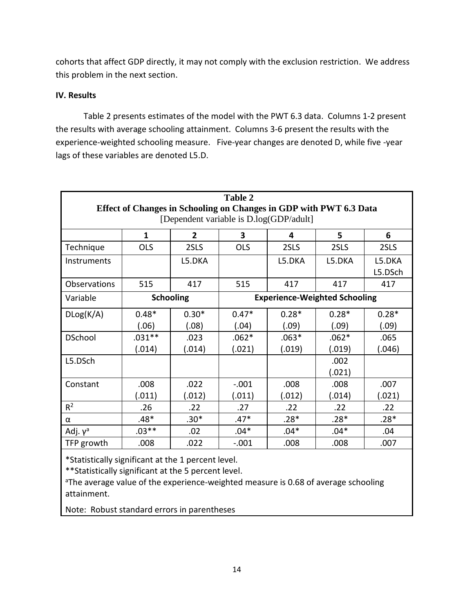cohorts that affect GDP directly, it may not comply with the exclusion restriction. We address this problem in the next section.

### **IV. Results**

Table 2 presents estimates of the model with the PWT 6.3 data. Columns 1-2 present the results with average schooling attainment. Columns 3-6 present the results with the experience-weighted schooling measure. Five-year changes are denoted D, while five -year lags of these variables are denoted L5.D.

| <b>Table 2</b><br>Effect of Changes in Schooling on Changes in GDP with PWT 6.3 Data<br>[Dependent variable is D.log(GDP/adult] |                                                          |         |            |         |         |                   |  |  |
|---------------------------------------------------------------------------------------------------------------------------------|----------------------------------------------------------|---------|------------|---------|---------|-------------------|--|--|
|                                                                                                                                 | $\mathbf{1}$<br>$\overline{2}$<br>3<br>5<br>6<br>4       |         |            |         |         |                   |  |  |
| Technique                                                                                                                       | <b>OLS</b>                                               | 2SLS    | <b>OLS</b> | 2SLS    | 2SLS    | 2SLS              |  |  |
| Instruments                                                                                                                     |                                                          | L5.DKA  |            | L5.DKA  | L5.DKA  | L5.DKA<br>L5.DSch |  |  |
| Observations                                                                                                                    | 515                                                      | 417     | 515        | 417     | 417     | 417               |  |  |
| Variable                                                                                                                        | <b>Schooling</b><br><b>Experience-Weighted Schooling</b> |         |            |         |         |                   |  |  |
| DLog(K/A)                                                                                                                       | $0.48*$                                                  | $0.30*$ | $0.47*$    | $0.28*$ | $0.28*$ | $0.28*$           |  |  |
|                                                                                                                                 | (.06)                                                    | (.08)   | (.04)      | (.09)   | (.09)   | (.09)             |  |  |
| <b>DSchool</b>                                                                                                                  | $.031**$                                                 | .023    | $.062*$    | $.063*$ | $.062*$ | .065              |  |  |
|                                                                                                                                 | (.014)                                                   | (.014)  | (.021)     | (.019)  | (.019)  | (.046)            |  |  |
| L5.DSch                                                                                                                         |                                                          |         |            |         | .002    |                   |  |  |
|                                                                                                                                 |                                                          |         |            |         | (.021)  |                   |  |  |
| Constant                                                                                                                        | .008                                                     | .022    | $-.001$    | .008    | .008    | .007              |  |  |
|                                                                                                                                 | (.011)                                                   | (.012)  | (.011)     | (.012)  | (.014)  | (.021)            |  |  |
| R <sup>2</sup>                                                                                                                  | .26                                                      | .22     | .27        | .22     | .22     | .22               |  |  |
| α                                                                                                                               | .48*                                                     | $.30*$  | $.47*$     | $.28*$  | $.28*$  | $.28*$            |  |  |
| Adj. $\gamma^a$                                                                                                                 | $.03**$                                                  | .02     | $.04*$     | $.04*$  | $.04*$  | .04               |  |  |
| TFP growth                                                                                                                      | .008                                                     | .022    | $-.001$    | .008    | .008    | .007              |  |  |

\*Statistically significant at the 1 percent level.

\*\*Statistically significant at the 5 percent level.

<sup>a</sup>The average value of the experience-weighted measure is 0.68 of average schooling attainment.

Note: Robust standard errors in parentheses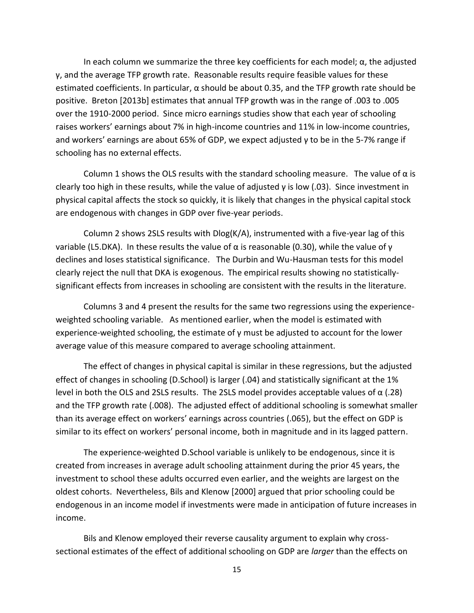In each column we summarize the three key coefficients for each model;  $\alpha$ , the adjusted γ, and the average TFP growth rate. Reasonable results require feasible values for these estimated coefficients. In particular,  $\alpha$  should be about 0.35, and the TFP growth rate should be positive. Breton [2013b] estimates that annual TFP growth was in the range of .003 to .005 over the 1910-2000 period. Since micro earnings studies show that each year of schooling raises workers' earnings about 7% in high-income countries and 11% in low-income countries, and workers' earnings are about 65% of GDP, we expect adjusted  $\gamma$  to be in the 5-7% range if schooling has no external effects.

Column 1 shows the OLS results with the standard schooling measure. The value of  $\alpha$  is clearly too high in these results, while the value of adjusted  $\gamma$  is low (.03). Since investment in physical capital affects the stock so quickly, it is likely that changes in the physical capital stock are endogenous with changes in GDP over five-year periods.

Column 2 shows 2SLS results with Dlog(K/A), instrumented with a five-year lag of this variable (L5.DKA). In these results the value of  $\alpha$  is reasonable (0.30), while the value of γ declines and loses statistical significance. The Durbin and Wu-Hausman tests for this model clearly reject the null that DKA is exogenous. The empirical results showing no statisticallysignificant effects from increases in schooling are consistent with the results in the literature.

Columns 3 and 4 present the results for the same two regressions using the experienceweighted schooling variable. As mentioned earlier, when the model is estimated with experience-weighted schooling, the estimate of  $\gamma$  must be adjusted to account for the lower average value of this measure compared to average schooling attainment.

The effect of changes in physical capital is similar in these regressions, but the adjusted effect of changes in schooling (D.School) is larger (.04) and statistically significant at the 1% level in both the OLS and 2SLS results. The 2SLS model provides acceptable values of α (.28) and the TFP growth rate (.008). The adjusted effect of additional schooling is somewhat smaller than its average effect on workers' earnings across countries (.065), but the effect on GDP is similar to its effect on workers' personal income, both in magnitude and in its lagged pattern.

The experience-weighted D.School variable is unlikely to be endogenous, since it is created from increases in average adult schooling attainment during the prior 45 years, the investment to school these adults occurred even earlier, and the weights are largest on the oldest cohorts. Nevertheless, Bils and Klenow [2000] argued that prior schooling could be endogenous in an income model if investments were made in anticipation of future increases in income.

Bils and Klenow employed their reverse causality argument to explain why crosssectional estimates of the effect of additional schooling on GDP are *larger* than the effects on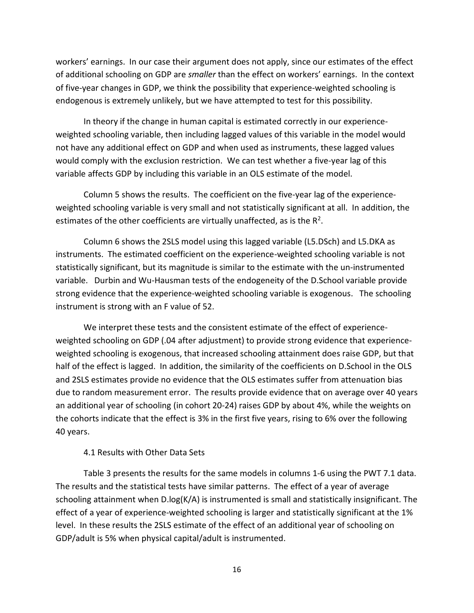workers' earnings. In our case their argument does not apply, since our estimates of the effect of additional schooling on GDP are *smaller* than the effect on workers' earnings. In the context of five-year changes in GDP, we think the possibility that experience-weighted schooling is endogenous is extremely unlikely, but we have attempted to test for this possibility.

In theory if the change in human capital is estimated correctly in our experienceweighted schooling variable, then including lagged values of this variable in the model would not have any additional effect on GDP and when used as instruments, these lagged values would comply with the exclusion restriction. We can test whether a five-year lag of this variable affects GDP by including this variable in an OLS estimate of the model.

Column 5 shows the results. The coefficient on the five-year lag of the experienceweighted schooling variable is very small and not statistically significant at all. In addition, the estimates of the other coefficients are virtually unaffected, as is the  $R^2$ .

Column 6 shows the 2SLS model using this lagged variable (L5.DSch) and L5.DKA as instruments. The estimated coefficient on the experience-weighted schooling variable is not statistically significant, but its magnitude is similar to the estimate with the un-instrumented variable. Durbin and Wu-Hausman tests of the endogeneity of the D.School variable provide strong evidence that the experience-weighted schooling variable is exogenous. The schooling instrument is strong with an F value of 52.

We interpret these tests and the consistent estimate of the effect of experienceweighted schooling on GDP (.04 after adjustment) to provide strong evidence that experienceweighted schooling is exogenous, that increased schooling attainment does raise GDP, but that half of the effect is lagged. In addition, the similarity of the coefficients on D.School in the OLS and 2SLS estimates provide no evidence that the OLS estimates suffer from attenuation bias due to random measurement error. The results provide evidence that on average over 40 years an additional year of schooling (in cohort 20-24) raises GDP by about 4%, while the weights on the cohorts indicate that the effect is 3% in the first five years, rising to 6% over the following 40 years.

#### 4.1 Results with Other Data Sets

Table 3 presents the results for the same models in columns 1-6 using the PWT 7.1 data. The results and the statistical tests have similar patterns. The effect of a year of average schooling attainment when D.log(K/A) is instrumented is small and statistically insignificant. The effect of a year of experience-weighted schooling is larger and statistically significant at the 1% level. In these results the 2SLS estimate of the effect of an additional year of schooling on GDP/adult is 5% when physical capital/adult is instrumented.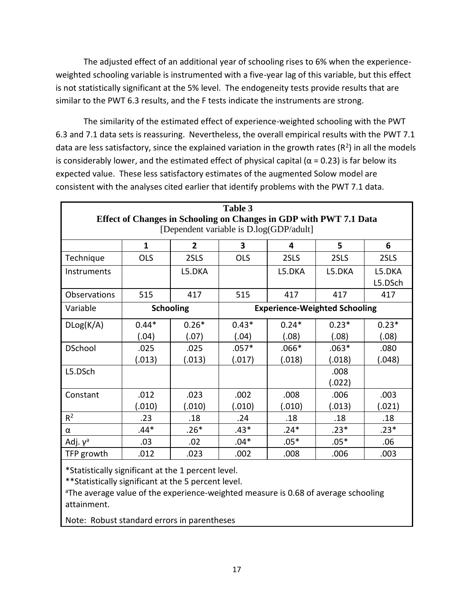The adjusted effect of an additional year of schooling rises to 6% when the experienceweighted schooling variable is instrumented with a five-year lag of this variable, but this effect is not statistically significant at the 5% level. The endogeneity tests provide results that are similar to the PWT 6.3 results, and the F tests indicate the instruments are strong.

The similarity of the estimated effect of experience-weighted schooling with the PWT 6.3 and 7.1 data sets is reassuring. Nevertheless, the overall empirical results with the PWT 7.1 data are less satisfactory, since the explained variation in the growth rates ( $R<sup>2</sup>$ ) in all the models is considerably lower, and the estimated effect of physical capital ( $\alpha$  = 0.23) is far below its expected value. These less satisfactory estimates of the augmented Solow model are consistent with the analyses cited earlier that identify problems with the PWT 7.1 data.

| Table 3<br>Effect of Changes in Schooling on Changes in GDP with PWT 7.1 Data<br>[Dependent variable is D.log(GDP/adult] |                                                          |         |            |         |         |                   |  |  |
|--------------------------------------------------------------------------------------------------------------------------|----------------------------------------------------------|---------|------------|---------|---------|-------------------|--|--|
|                                                                                                                          | $\mathbf{1}$                                             | 6       |            |         |         |                   |  |  |
| Technique                                                                                                                | <b>OLS</b>                                               | 2SLS    | <b>OLS</b> | 2SLS    | 2SLS    | 2SLS              |  |  |
| Instruments                                                                                                              |                                                          | L5.DKA  |            | L5.DKA  | L5.DKA  | L5.DKA<br>L5.DSch |  |  |
| <b>Observations</b>                                                                                                      | 515                                                      | 417     | 515        | 417     | 417     | 417               |  |  |
| Variable                                                                                                                 | <b>Schooling</b><br><b>Experience-Weighted Schooling</b> |         |            |         |         |                   |  |  |
| DLog(K/A)                                                                                                                | $0.44*$                                                  | $0.26*$ | $0.43*$    | $0.24*$ | $0.23*$ | $0.23*$           |  |  |
|                                                                                                                          | (.04)                                                    | (.07)   | (.04)      | (.08)   | (.08)   | (.08)             |  |  |
| <b>DSchool</b>                                                                                                           | .025                                                     | .025    | $.057*$    | $.066*$ | $.063*$ | .080              |  |  |
|                                                                                                                          | (.013)                                                   | (.013)  | (.017)     | (.018)  | (.018)  | (.048)            |  |  |
| L5.DSch                                                                                                                  |                                                          |         |            |         | .008    |                   |  |  |
|                                                                                                                          |                                                          |         |            |         | (.022)  |                   |  |  |
| Constant                                                                                                                 | .012                                                     | .023    | .002       | .008    | .006    | .003              |  |  |
|                                                                                                                          | (.010)                                                   | (.010)  | (.010)     | (.010)  | (.013)  | (.021)            |  |  |
| R <sup>2</sup>                                                                                                           | .23                                                      | .18     | .24        | .18     | .18     | .18               |  |  |
| α                                                                                                                        | $.44*$                                                   | $.26*$  | $.43*$     | $.24*$  | $.23*$  | $.23*$            |  |  |
| Adj. $v^a$                                                                                                               | .03                                                      | .02     | $.04*$     | $.05*$  | $.05*$  | .06               |  |  |
| TFP growth                                                                                                               | .012                                                     | .023    | .002       | .008    | .006    | .003              |  |  |

\*Statistically significant at the 1 percent level.

\*\*Statistically significant at the 5 percent level.

<sup>a</sup>The average value of the experience-weighted measure is 0.68 of average schooling attainment.

Note: Robust standard errors in parentheses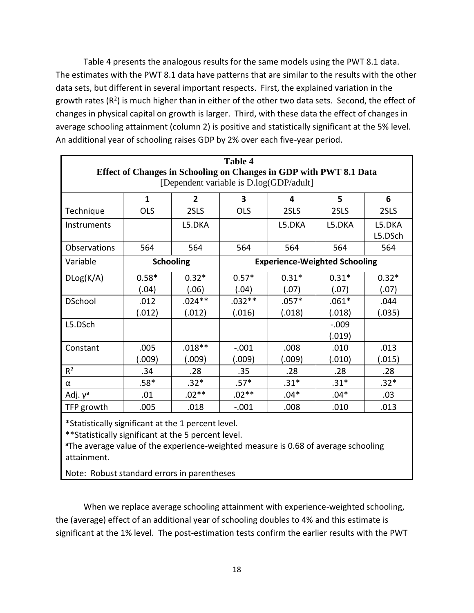Table 4 presents the analogous results for the same models using the PWT 8.1 data. The estimates with the PWT 8.1 data have patterns that are similar to the results with the other data sets, but different in several important respects. First, the explained variation in the growth rates ( $R^2$ ) is much higher than in either of the other two data sets. Second, the effect of changes in physical capital on growth is larger. Third, with these data the effect of changes in average schooling attainment (column 2) is positive and statistically significant at the 5% level. An additional year of schooling raises GDP by 2% over each five-year period.

| <b>Table 4</b><br>Effect of Changes in Schooling on Changes in GDP with PWT 8.1 Data |                                                          |                                         |            |         |         |                   |  |  |
|--------------------------------------------------------------------------------------|----------------------------------------------------------|-----------------------------------------|------------|---------|---------|-------------------|--|--|
|                                                                                      |                                                          | [Dependent variable is D.log(GDP/adult] |            |         |         |                   |  |  |
|                                                                                      | $\overline{2}$<br>3<br>$\mathbf{1}$<br>5<br>4            |                                         |            |         |         |                   |  |  |
| Technique                                                                            | <b>OLS</b>                                               | 2SLS                                    | <b>OLS</b> | 2SLS    | 2SLS    | 2SLS              |  |  |
| Instruments                                                                          |                                                          | L5.DKA                                  |            | L5.DKA  | L5.DKA  | L5.DKA<br>L5.DSch |  |  |
| Observations                                                                         | 564                                                      | 564                                     | 564        | 564     | 564     | 564               |  |  |
| Variable                                                                             | <b>Experience-Weighted Schooling</b><br><b>Schooling</b> |                                         |            |         |         |                   |  |  |
| DLog(K/A)                                                                            | $0.58*$                                                  | $0.32*$                                 | $0.57*$    | $0.31*$ | $0.31*$ | $0.32*$           |  |  |
|                                                                                      | (.04)                                                    | (.06)                                   | (.04)      | (.07)   | (.07)   | (.07)             |  |  |
| <b>DSchool</b>                                                                       | .012                                                     | $.024**$                                | $.032**$   | $.057*$ | $.061*$ | .044              |  |  |
|                                                                                      | (.012)                                                   | (.012)                                  | (.016)     | (.018)  | (.018)  | (.035)            |  |  |
| L5.DSch                                                                              |                                                          |                                         |            |         | $-.009$ |                   |  |  |
|                                                                                      |                                                          |                                         |            |         | (.019)  |                   |  |  |
| Constant                                                                             | .005                                                     | $.018**$                                | $-.001$    | .008    | .010    | .013              |  |  |
|                                                                                      | (.009)                                                   | (.009)                                  | (.009)     | (.009)  | (.010)  | (.015)            |  |  |
| R <sup>2</sup>                                                                       | .34                                                      | .28                                     | .35        | .28     | .28     | .28               |  |  |
| α                                                                                    | $.58*$                                                   | $.32*$                                  | $.57*$     | $.31*$  | $.31*$  | $.32*$            |  |  |
| Adj. $v^a$                                                                           | .01                                                      | $.02**$                                 | $.02**$    | $.04*$  | $.04*$  | .03               |  |  |
| TFP growth                                                                           | .005                                                     | .018                                    | $-.001$    | .008    | .010    | .013              |  |  |

\*Statistically significant at the 1 percent level.

\*\*Statistically significant at the 5 percent level.

<sup>a</sup>The average value of the experience-weighted measure is 0.68 of average schooling attainment.

Note: Robust standard errors in parentheses

When we replace average schooling attainment with experience-weighted schooling, the (average) effect of an additional year of schooling doubles to 4% and this estimate is significant at the 1% level. The post-estimation tests confirm the earlier results with the PWT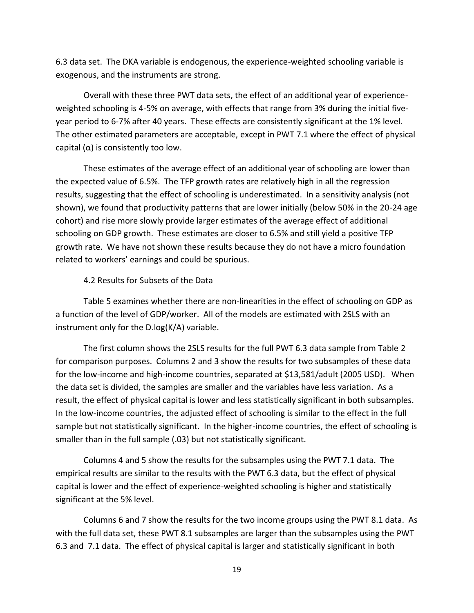6.3 data set. The DKA variable is endogenous, the experience-weighted schooling variable is exogenous, and the instruments are strong.

Overall with these three PWT data sets, the effect of an additional year of experienceweighted schooling is 4-5% on average, with effects that range from 3% during the initial fiveyear period to 6-7% after 40 years. These effects are consistently significant at the 1% level. The other estimated parameters are acceptable, except in PWT 7.1 where the effect of physical capital  $(\alpha)$  is consistently too low.

These estimates of the average effect of an additional year of schooling are lower than the expected value of 6.5%. The TFP growth rates are relatively high in all the regression results, suggesting that the effect of schooling is underestimated. In a sensitivity analysis (not shown), we found that productivity patterns that are lower initially (below 50% in the 20-24 age cohort) and rise more slowly provide larger estimates of the average effect of additional schooling on GDP growth. These estimates are closer to 6.5% and still yield a positive TFP growth rate. We have not shown these results because they do not have a micro foundation related to workers' earnings and could be spurious.

#### 4.2 Results for Subsets of the Data

Table 5 examines whether there are non-linearities in the effect of schooling on GDP as a function of the level of GDP/worker. All of the models are estimated with 2SLS with an instrument only for the D.log(K/A) variable.

The first column shows the 2SLS results for the full PWT 6.3 data sample from Table 2 for comparison purposes. Columns 2 and 3 show the results for two subsamples of these data for the low-income and high-income countries, separated at \$13,581/adult (2005 USD). When the data set is divided, the samples are smaller and the variables have less variation. As a result, the effect of physical capital is lower and less statistically significant in both subsamples. In the low-income countries, the adjusted effect of schooling is similar to the effect in the full sample but not statistically significant. In the higher-income countries, the effect of schooling is smaller than in the full sample (.03) but not statistically significant.

Columns 4 and 5 show the results for the subsamples using the PWT 7.1 data. The empirical results are similar to the results with the PWT 6.3 data, but the effect of physical capital is lower and the effect of experience-weighted schooling is higher and statistically significant at the 5% level.

Columns 6 and 7 show the results for the two income groups using the PWT 8.1 data. As with the full data set, these PWT 8.1 subsamples are larger than the subsamples using the PWT 6.3 and 7.1 data. The effect of physical capital is larger and statistically significant in both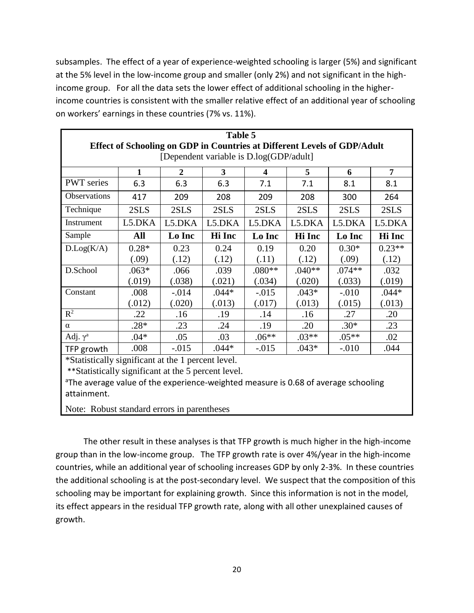subsamples. The effect of a year of experience-weighted schooling is larger (5%) and significant at the 5% level in the low-income group and smaller (only 2%) and not significant in the highincome group. For all the data sets the lower effect of additional schooling in the higherincome countries is consistent with the smaller relative effect of an additional year of schooling on workers' earnings in these countries (7% vs. 11%).

| Table 5                                                                  |              |                                                             |         |          |          |          |          |  |  |  |
|--------------------------------------------------------------------------|--------------|-------------------------------------------------------------|---------|----------|----------|----------|----------|--|--|--|
| Effect of Schooling on GDP in Countries at Different Levels of GDP/Adult |              |                                                             |         |          |          |          |          |  |  |  |
| [Dependent variable is D.log(GDP/adult]                                  |              |                                                             |         |          |          |          |          |  |  |  |
|                                                                          | $\mathbf{1}$ | 3<br>7<br>$\mathbf{2}$<br>5<br>6<br>$\overline{\mathbf{4}}$ |         |          |          |          |          |  |  |  |
| <b>PWT</b> series                                                        | 6.3          | 6.3                                                         | 6.3     | 7.1      | 7.1      | 8.1      | 8.1      |  |  |  |
| Observations                                                             | 417          | 209                                                         | 208     | 209      | 208      | 300      | 264      |  |  |  |
| Technique                                                                | 2SLS         | 2SLS                                                        | 2SLS    | 2SLS     | 2SLS     | 2SLS     | 2SLS     |  |  |  |
| Instrument                                                               | L5.DKA       | L5.DKA                                                      | L5.DKA  | L5.DKA   | L5.DKA   | L5.DKA   | L5.DKA   |  |  |  |
| Sample                                                                   | All          | Lo Inc                                                      | Hi Inc  | Lo Inc   | Hi Inc   | Lo Inc   | Hi Inc   |  |  |  |
| D.Log(K/A)                                                               | $0.28*$      | 0.23                                                        | 0.24    | 0.19     | 0.20     | $0.30*$  | $0.23**$ |  |  |  |
|                                                                          | (.09)        | (.12)                                                       | (.12)   | (.11)    | (.12)    | (.09)    | (.12)    |  |  |  |
| D.School                                                                 | $.063*$      | .066                                                        | .039    | $.080**$ | $.040**$ | $.074**$ | .032     |  |  |  |
|                                                                          | (.019)       | (.038)                                                      | (.021)  | (.034)   | (.020)   | (.033)   | (.019)   |  |  |  |
| Constant                                                                 | .008         | $-0.014$                                                    | $.044*$ | $-0.015$ | $.043*$  | $-.010$  | $.044*$  |  |  |  |
|                                                                          | (.012)       | (.020)                                                      | (.013)  | (.017)   | (.013)   | (.015)   | (.013)   |  |  |  |
| $R^2$                                                                    | .22          | .16                                                         | .19     | .14      | .16      | .27      | .20      |  |  |  |
| $\alpha$                                                                 | $.28*$       | .23                                                         | .24     | .19      | .20      | $.30*$   | .23      |  |  |  |
| Adj. $\gamma^a$                                                          | $.04*$       | .05                                                         | .03     | $.06**$  | $.03**$  | $.05**$  | .02      |  |  |  |
| TFP growth                                                               | .008         | $-0.015$                                                    | $.044*$ | $-0.015$ | $.043*$  | $-.010$  | .044     |  |  |  |
| *Statistically significant at the 1 percent level.                       |              |                                                             |         |          |          |          |          |  |  |  |
| **Statistically significant at the 5 percent level.                      |              |                                                             |         |          |          |          |          |  |  |  |

<sup>a</sup>The average value of the experience-weighted measure is 0.68 of average schooling attainment.

Note: Robust standard errors in parentheses

The other result in these analyses is that TFP growth is much higher in the high-income group than in the low-income group. The TFP growth rate is over 4%/year in the high-income countries, while an additional year of schooling increases GDP by only 2-3%. In these countries the additional schooling is at the post-secondary level. We suspect that the composition of this schooling may be important for explaining growth. Since this information is not in the model, its effect appears in the residual TFP growth rate, along with all other unexplained causes of growth.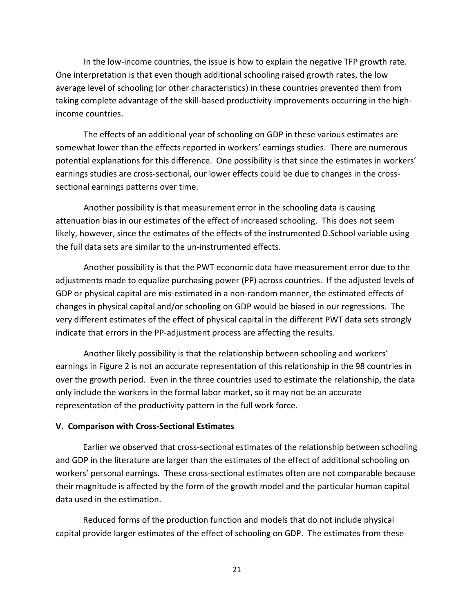In the low-income countries, the issue is how to explain the negative TFP growth rate. One interpretation is that even though additional schooling raised growth rates, the low average level of schooling (or other characteristics) in these countries prevented them from taking complete advantage of the skill-based productivity improvements occurring in the highincome countries.

The effects of an additional year of schooling on GDP in these various estimates are somewhat lower than the effects reported in workers' earnings studies. There are numerous potential explanations for this difference. One possibility is that since the estimates in workers' earnings studies are cross-sectional, our lower effects could be due to changes in the crosssectional earnings patterns over time.

Another possibility is that measurement error in the schooling data is causing attenuation bias in our estimates of the effect of increased schooling. This does not seem likely, however, since the estimates of the effects of the instrumented D.School variable using the full data sets are similar to the un-instrumented effects.

Another possibility is that the PWT economic data have measurement error due to the adjustments made to equalize purchasing power (PP) across countries. If the adjusted levels of GDP or physical capital are mis-estimated in a non-random manner, the estimated effects of changes in physical capital and/or schooling on GDP would be biased in our regressions. The very different estimates of the effect of physical capital in the different PWT data sets strongly indicate that errors in the PP-adjustment process are affecting the results.

Another likely possibility is that the relationship between schooling and workers' earnings in Figure 2 is not an accurate representation of this relationship in the 98 countries in over the growth period. Even in the three countries used to estimate the relationship, the data only include the workers in the formal labor market, so it may not be an accurate representation of the productivity pattern in the full work force.

#### **V. Comparison with Cross-Sectional Estimates**

Earlier we observed that cross-sectional estimates of the relationship between schooling and GDP in the literature are larger than the estimates of the effect of additional schooling on workers' personal earnings. These cross-sectional estimates often are not comparable because their magnitude is affected by the form of the growth model and the particular human capital data used in the estimation.

Reduced forms of the production function and models that do not include physical capital provide larger estimates of the effect of schooling on GDP. The estimates from these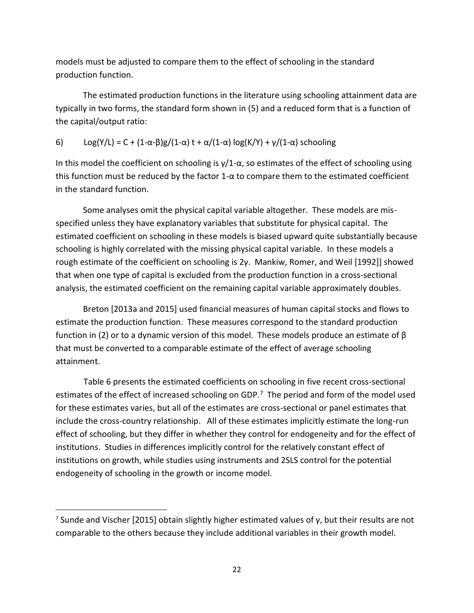models must be adjusted to compare them to the effect of schooling in the standard production function.

The estimated production functions in the literature using schooling attainment data are typically in two forms, the standard form shown in (5) and a reduced form that is a function of the capital/output ratio:

6) Log(Y/L) = C + (1- $\alpha$ -β)g/(1- $\alpha$ ) t +  $\alpha$ /(1- $\alpha$ ) log(K/Y) +  $\gamma$ /(1- $\alpha$ ) schooling

In this model the coefficient on schooling is  $\gamma/1-\alpha$ , so estimates of the effect of schooling using this function must be reduced by the factor 1-α to compare them to the estimated coefficient in the standard function.

Some analyses omit the physical capital variable altogether. These models are misspecified unless they have explanatory variables that substitute for physical capital. The estimated coefficient on schooling in these models is biased upward quite substantially because schooling is highly correlated with the missing physical capital variable. In these models a rough estimate of the coefficient on schooling is 2γ. Mankiw, Romer, and Weil [1992]] showed that when one type of capital is excluded from the production function in a cross-sectional analysis, the estimated coefficient on the remaining capital variable approximately doubles.

Breton [2013a and 2015] used financial measures of human capital stocks and flows to estimate the production function. These measures correspond to the standard production function in (2) or to a dynamic version of this model. These models produce an estimate of β that must be converted to a comparable estimate of the effect of average schooling attainment.

Table 6 presents the estimated coefficients on schooling in five recent cross-sectional estimates of the effect of increased schooling on GDP.<sup>7</sup> The period and form of the model used for these estimates varies, but all of the estimates are cross-sectional or panel estimates that include the cross-country relationship. All of these estimates implicitly estimate the long-run effect of schooling, but they differ in whether they control for endogeneity and for the effect of institutions. Studies in differences implicitly control for the relatively constant effect of institutions on growth, while studies using instruments and 2SLS control for the potential endogeneity of schooling in the growth or income model.

 $\overline{a}$ 

<sup>&</sup>lt;sup>7</sup> Sunde and Vischer [2015] obtain slightly higher estimated values of y, but their results are not comparable to the others because they include additional variables in their growth model.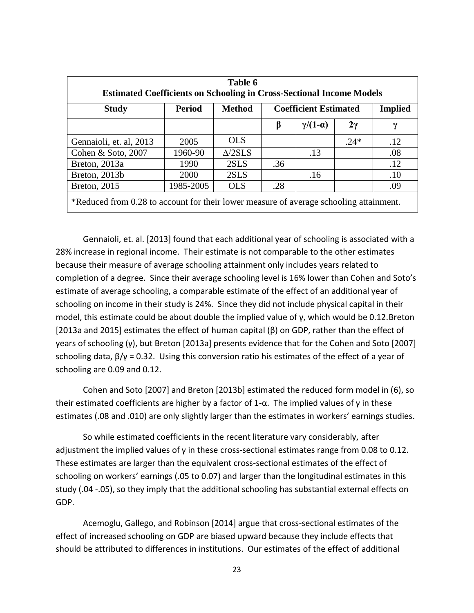| Table 6                                                                                |               |                   |                                                |                     |           |             |  |  |
|----------------------------------------------------------------------------------------|---------------|-------------------|------------------------------------------------|---------------------|-----------|-------------|--|--|
| <b>Estimated Coefficients on Schooling in Cross-Sectional Income Models</b>            |               |                   |                                                |                     |           |             |  |  |
| <b>Study</b>                                                                           | <b>Period</b> | <b>Method</b>     | <b>Implied</b><br><b>Coefficient Estimated</b> |                     |           |             |  |  |
|                                                                                        |               |                   | β                                              | $\gamma/(1-\alpha)$ | $2\gamma$ | $\mathbf v$ |  |  |
| Gennaioli, et. al, 2013                                                                | 2005          | <b>OLS</b>        |                                                |                     | $.24*$    | .12         |  |  |
| Cohen & Soto, 2007                                                                     | 1960-90       | $\triangle$ /2SLS |                                                | .13                 |           | .08         |  |  |
| Breton, 2013a                                                                          | 1990          | 2SLS              | .36                                            |                     |           | .12         |  |  |
| Breton, 2013b                                                                          | 2000          | 2SLS              |                                                | .16                 |           | .10         |  |  |
| 1985-2005<br>Breton, 2015<br><b>OLS</b><br>.28<br>.09                                  |               |                   |                                                |                     |           |             |  |  |
| *Reduced from 0.28 to account for their lower measure of average schooling attainment. |               |                   |                                                |                     |           |             |  |  |

Gennaioli, et. al. [2013] found that each additional year of schooling is associated with a 28% increase in regional income. Their estimate is not comparable to the other estimates because their measure of average schooling attainment only includes years related to completion of a degree. Since their average schooling level is 16% lower than Cohen and Soto's estimate of average schooling, a comparable estimate of the effect of an additional year of schooling on income in their study is 24%. Since they did not include physical capital in their model, this estimate could be about double the implied value of γ, which would be 0.12.Breton [2013a and 2015] estimates the effect of human capital (β) on GDP, rather than the effect of years of schooling (γ), but Breton [2013a] presents evidence that for the Cohen and Soto [2007] schooling data,  $β/γ = 0.32$ . Using this conversion ratio his estimates of the effect of a year of schooling are 0.09 and 0.12.

Cohen and Soto [2007] and Breton [2013b] estimated the reduced form model in (6), so their estimated coefficients are higher by a factor of 1- $\alpha$ . The implied values of γ in these estimates (.08 and .010) are only slightly larger than the estimates in workers' earnings studies.

So while estimated coefficients in the recent literature vary considerably, after adjustment the implied values of γ in these cross-sectional estimates range from 0.08 to 0.12. These estimates are larger than the equivalent cross-sectional estimates of the effect of schooling on workers' earnings (.05 to 0.07) and larger than the longitudinal estimates in this study (.04 -.05), so they imply that the additional schooling has substantial external effects on GDP.

Acemoglu, Gallego, and Robinson [2014] argue that cross-sectional estimates of the effect of increased schooling on GDP are biased upward because they include effects that should be attributed to differences in institutions. Our estimates of the effect of additional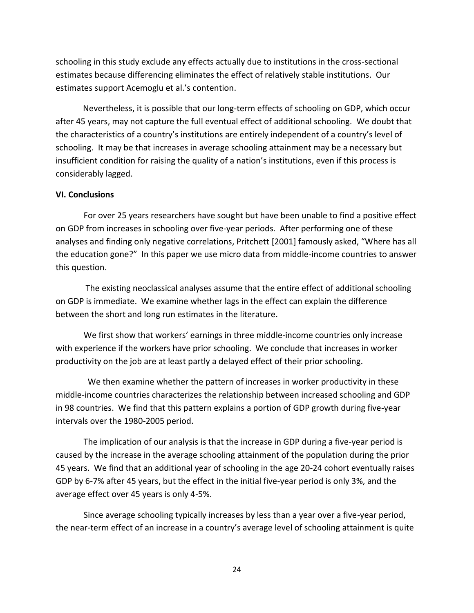schooling in this study exclude any effects actually due to institutions in the cross-sectional estimates because differencing eliminates the effect of relatively stable institutions. Our estimates support Acemoglu et al.'s contention.

Nevertheless, it is possible that our long-term effects of schooling on GDP, which occur after 45 years, may not capture the full eventual effect of additional schooling. We doubt that the characteristics of a country's institutions are entirely independent of a country's level of schooling. It may be that increases in average schooling attainment may be a necessary but insufficient condition for raising the quality of a nation's institutions, even if this process is considerably lagged.

#### **VI. Conclusions**

For over 25 years researchers have sought but have been unable to find a positive effect on GDP from increases in schooling over five-year periods. After performing one of these analyses and finding only negative correlations, Pritchett [2001] famously asked, "Where has all the education gone?" In this paper we use micro data from middle-income countries to answer this question.

The existing neoclassical analyses assume that the entire effect of additional schooling on GDP is immediate. We examine whether lags in the effect can explain the difference between the short and long run estimates in the literature.

We first show that workers' earnings in three middle-income countries only increase with experience if the workers have prior schooling. We conclude that increases in worker productivity on the job are at least partly a delayed effect of their prior schooling.

 We then examine whether the pattern of increases in worker productivity in these middle-income countries characterizes the relationship between increased schooling and GDP in 98 countries. We find that this pattern explains a portion of GDP growth during five-year intervals over the 1980-2005 period.

The implication of our analysis is that the increase in GDP during a five-year period is caused by the increase in the average schooling attainment of the population during the prior 45 years. We find that an additional year of schooling in the age 20-24 cohort eventually raises GDP by 6-7% after 45 years, but the effect in the initial five-year period is only 3%, and the average effect over 45 years is only 4-5%.

Since average schooling typically increases by less than a year over a five-year period, the near-term effect of an increase in a country's average level of schooling attainment is quite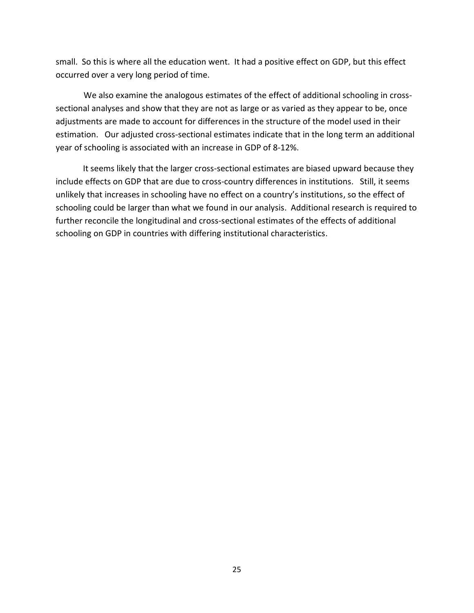small. So this is where all the education went. It had a positive effect on GDP, but this effect occurred over a very long period of time.

We also examine the analogous estimates of the effect of additional schooling in crosssectional analyses and show that they are not as large or as varied as they appear to be, once adjustments are made to account for differences in the structure of the model used in their estimation. Our adjusted cross-sectional estimates indicate that in the long term an additional year of schooling is associated with an increase in GDP of 8-12%.

It seems likely that the larger cross-sectional estimates are biased upward because they include effects on GDP that are due to cross-country differences in institutions. Still, it seems unlikely that increases in schooling have no effect on a country's institutions, so the effect of schooling could be larger than what we found in our analysis. Additional research is required to further reconcile the longitudinal and cross-sectional estimates of the effects of additional schooling on GDP in countries with differing institutional characteristics.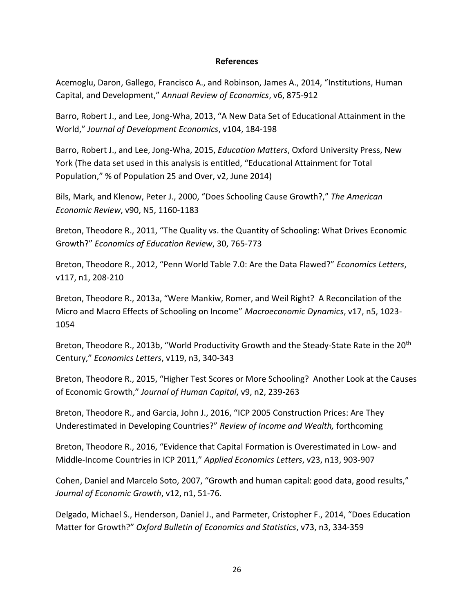#### **References**

Acemoglu, Daron, Gallego, Francisco A., and Robinson, James A., 2014, "Institutions, Human Capital, and Development," *Annual Review of Economics*, v6, 875-912

Barro, Robert J., and Lee, Jong-Wha, 2013, "A New Data Set of Educational Attainment in the World," *Journal of Development Economics*, v104, 184-198

Barro, Robert J., and Lee, Jong-Wha, 2015, *Education Matters*, Oxford University Press, New York (The data set used in this analysis is entitled, "Educational Attainment for Total Population," % of Population 25 and Over, v2, June 2014)

Bils, Mark, and Klenow, Peter J., 2000, "Does Schooling Cause Growth?," *The American Economic Review*, v90, N5, 1160-1183

Breton, Theodore R., 2011, "The Quality vs. the Quantity of Schooling: What Drives Economic Growth?" *Economics of Education Review*, 30, 765-773

Breton, Theodore R., 2012, "Penn World Table 7.0: Are the Data Flawed?" *Economics Letters*, v117, n1, 208-210

Breton, Theodore R., 2013a, "Were Mankiw, Romer, and Weil Right? A Reconcilation of the Micro and Macro Effects of Schooling on Income" *Macroeconomic Dynamics*, v17, n5, 1023- 1054

Breton, Theodore R., 2013b, "World Productivity Growth and the Steady-State Rate in the 20<sup>th</sup> Century," *Economics Letters*, v119, n3, 340-343

Breton, Theodore R., 2015, "Higher Test Scores or More Schooling? Another Look at the Causes of Economic Growth," *Journal of Human Capital*, v9, n2, 239-263

Breton, Theodore R., and Garcia, John J., 2016, "ICP 2005 Construction Prices: Are They Underestimated in Developing Countries?" *Review of Income and Wealth,* forthcoming

Breton, Theodore R., 2016, "Evidence that Capital Formation is Overestimated in Low- and Middle-Income Countries in ICP 2011," *Applied Economics Letters*, v23, n13, 903-907

Cohen, Daniel and Marcelo Soto, 2007, "Growth and human capital: good data, good results," *Journal of Economic Growth*, v12, n1, 51-76.

Delgado, Michael S., Henderson, Daniel J., and Parmeter, Cristopher F., 2014, "Does Education Matter for Growth?" *Oxford Bulletin of Economics and Statistics*, v73, n3, 334-359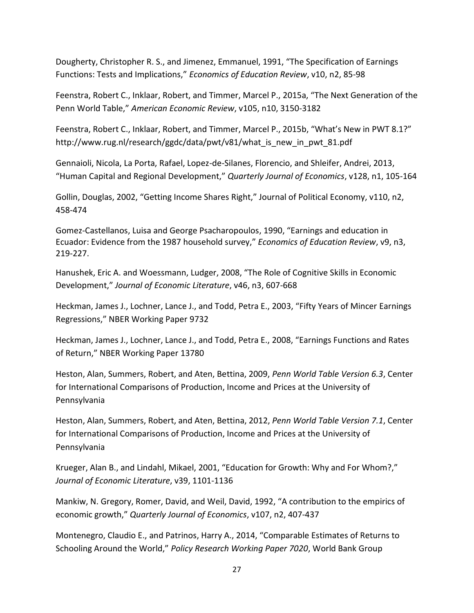Dougherty, Christopher R. S., and Jimenez, Emmanuel, 1991, "The Specification of Earnings Functions: Tests and Implications," *Economics of Education Review*, v10, n2, 85-98

Feenstra, Robert C., Inklaar, Robert, and Timmer, Marcel P., 2015a, "The Next Generation of the Penn World Table," *American Economic Review*, v105, n10, 3150-3182

Feenstra, Robert C., Inklaar, Robert, and Timmer, Marcel P., 2015b, "What's New in PWT 8.1?" http://www.rug.nl/research/ggdc/data/pwt/v81/what\_is\_new\_in\_pwt\_81.pdf

Gennaioli, Nicola, La Porta, Rafael, Lopez-de-Silanes, Florencio, and Shleifer, Andrei, 2013, "Human Capital and Regional Development," *Quarterly Journal of Economics*, v128, n1, 105-164

Gollin, Douglas, 2002, "Getting Income Shares Right," Journal of Political Economy, v110, n2, 458-474

Gomez-Castellanos, Luisa and George Psacharopoulos, 1990, "Earnings and education in Ecuador: Evidence from the 1987 household survey," *Economics of Education Review*, v9, n3, 219-227.

Hanushek, Eric A. and Woessmann, Ludger, 2008, "The Role of Cognitive Skills in Economic Development," *Journal of Economic Literature*, v46, n3, 607-668

Heckman, James J., Lochner, Lance J., and Todd, Petra E., 2003, "Fifty Years of Mincer Earnings Regressions," NBER Working Paper 9732

Heckman, James J., Lochner, Lance J., and Todd, Petra E., 2008, "Earnings Functions and Rates of Return," NBER Working Paper 13780

Heston, Alan, Summers, Robert, and Aten, Bettina, 2009, *Penn World Table Version 6.3*, Center for International Comparisons of Production, Income and Prices at the University of Pennsylvania

Heston, Alan, Summers, Robert, and Aten, Bettina, 2012, *Penn World Table Version 7.1*, Center for International Comparisons of Production, Income and Prices at the University of Pennsylvania

Krueger, Alan B., and Lindahl, Mikael, 2001, "Education for Growth: Why and For Whom?," *Journal of Economic Literature*, v39, 1101-1136

Mankiw, N. Gregory, Romer, David, and Weil, David, 1992, "A contribution to the empirics of economic growth," *Quarterly Journal of Economics*, v107, n2, 407-437

Montenegro, Claudio E., and Patrinos, Harry A., 2014, "Comparable Estimates of Returns to Schooling Around the World," *Policy Research Working Paper 7020*, World Bank Group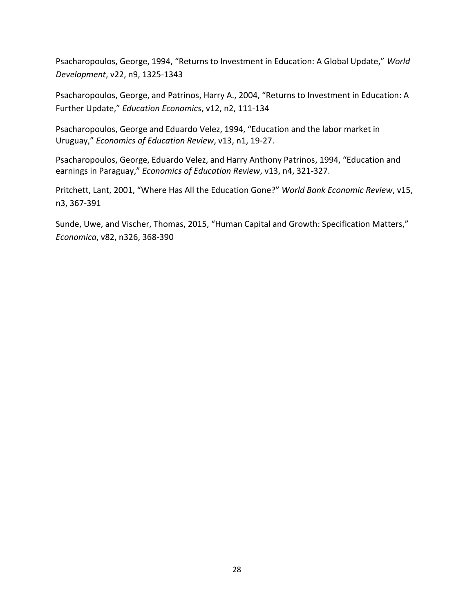Psacharopoulos, George, 1994, "Returns to Investment in Education: A Global Update," *World Development*, v22, n9, 1325-1343

Psacharopoulos, George, and Patrinos, Harry A., 2004, "Returns to Investment in Education: A Further Update," *Education Economics*, v12, n2, 111-134

Psacharopoulos, George and Eduardo Velez, 1994, "Education and the labor market in Uruguay," *Economics of Education Review*, v13, n1, 19-27.

Psacharopoulos, George, Eduardo Velez, and Harry Anthony Patrinos, 1994, "Education and earnings in Paraguay," *Economics of Education Review*, v13, n4, 321-327.

Pritchett, Lant, 2001, "Where Has All the Education Gone?" *World Bank Economic Review*, v15, n3, 367-391

Sunde, Uwe, and Vischer, Thomas, 2015, "Human Capital and Growth: Specification Matters," *Economica*, v82, n326, 368-390